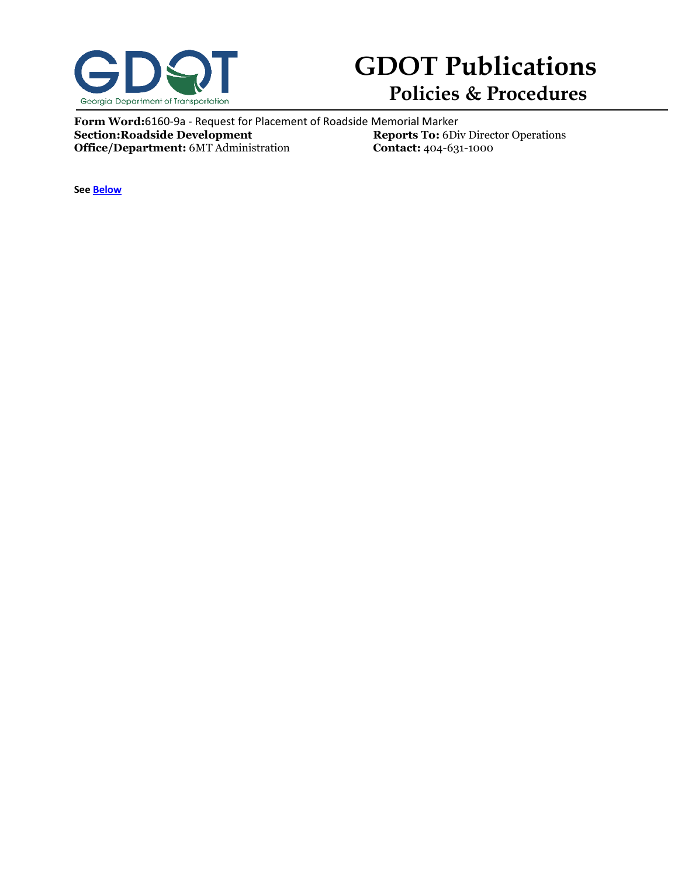

## **GDOT Publications Policies & Procedures**

**Form Word:**6160-9a - Request for Placement of Roadside Memorial Marker<br>**Section:Roadside Development** Reports To: 6Di **Reports To:** 6Div Director Operations<br>**Contact:** 404-631-1000 **Office/Department:** 6MT Administration

**See [Below](#page-1-0)**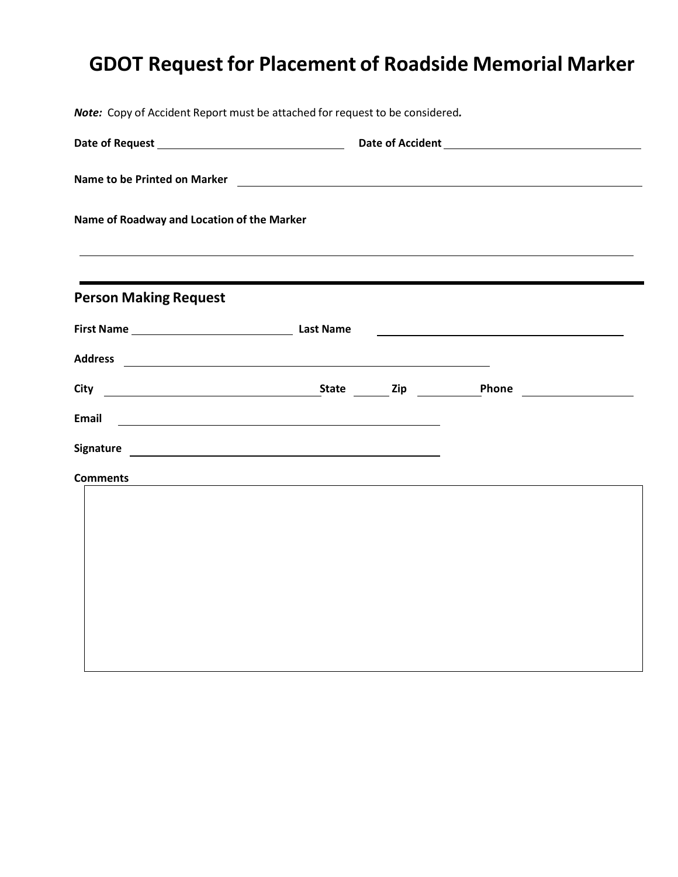# <span id="page-1-0"></span>**GDOT Request for Placement of Roadside Memorial Marker**

| Note: Copy of Accident Report must be attached for request to be considered. |                                                                                                                                                                                                                                |  |                                                                     |  |  |
|------------------------------------------------------------------------------|--------------------------------------------------------------------------------------------------------------------------------------------------------------------------------------------------------------------------------|--|---------------------------------------------------------------------|--|--|
|                                                                              |                                                                                                                                                                                                                                |  |                                                                     |  |  |
|                                                                              | Name to be Printed on Marker 2008 and 2009 and 2009 and 2009 and 2009 and 2009 and 2009 and 2009 and 2009 and 2009 and 2009 and 2009 and 2009 and 2009 and 2009 and 2009 and 2009 and 2009 and 2009 and 2009 and 2009 and 2009 |  |                                                                     |  |  |
| Name of Roadway and Location of the Marker                                   |                                                                                                                                                                                                                                |  |                                                                     |  |  |
| <b>Person Making Request</b>                                                 | and the control of the control of the control of the control of the control of the control of the control of the                                                                                                               |  |                                                                     |  |  |
|                                                                              |                                                                                                                                                                                                                                |  | <u> 1989 - Johann Stein, mars an deus Amerikaansk kommunister (</u> |  |  |
|                                                                              |                                                                                                                                                                                                                                |  |                                                                     |  |  |
|                                                                              |                                                                                                                                                                                                                                |  |                                                                     |  |  |
| <b>Email</b>                                                                 | <u> Alexandria de la contrada de la contrada de la contrada de la contrada de la contrada de la contrada de la c</u>                                                                                                           |  |                                                                     |  |  |
|                                                                              |                                                                                                                                                                                                                                |  |                                                                     |  |  |
| <b>Comments</b>                                                              | <u> 1989 - Johann Stein, mars an deutscher Stein und der Stein und der Stein und der Stein und der Stein und der</u>                                                                                                           |  |                                                                     |  |  |
|                                                                              |                                                                                                                                                                                                                                |  |                                                                     |  |  |
|                                                                              |                                                                                                                                                                                                                                |  |                                                                     |  |  |
|                                                                              |                                                                                                                                                                                                                                |  |                                                                     |  |  |
|                                                                              |                                                                                                                                                                                                                                |  |                                                                     |  |  |
|                                                                              |                                                                                                                                                                                                                                |  |                                                                     |  |  |
|                                                                              |                                                                                                                                                                                                                                |  |                                                                     |  |  |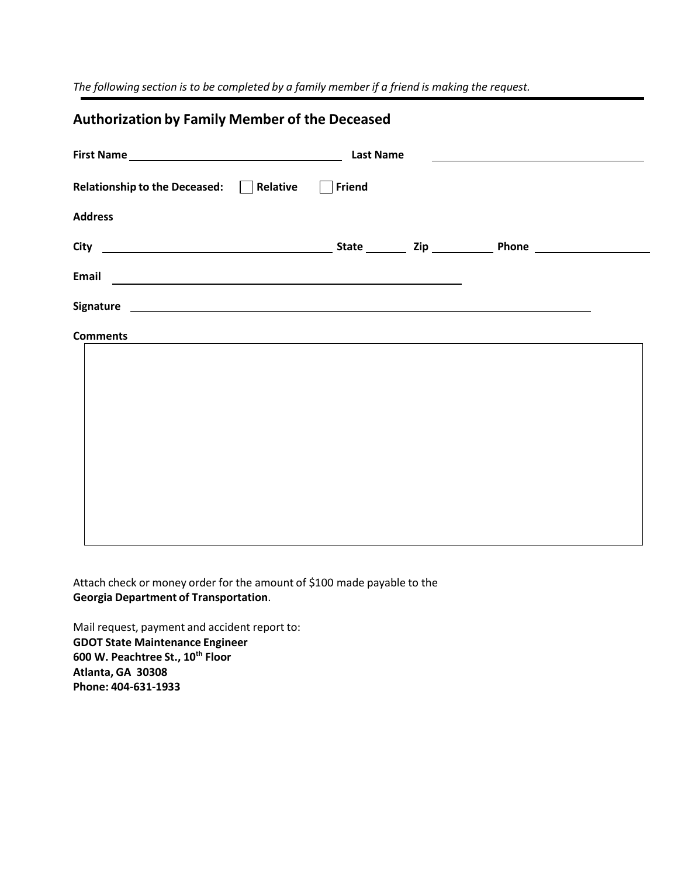*The following section is to be completed by a family member if a friend is making the request.*

#### **Authorization by Family Member of the Deceased**

| <b>Last Name</b><br><u> 1989 - Andrea State Barbara, amerikan personal di sebagai personal di sebagai personal di sebagai personal di</u>                                                                                      |        |  |  |  |
|--------------------------------------------------------------------------------------------------------------------------------------------------------------------------------------------------------------------------------|--------|--|--|--|
| Relationship to the Deceased: Relative                                                                                                                                                                                         | Friend |  |  |  |
| <b>Address</b>                                                                                                                                                                                                                 |        |  |  |  |
|                                                                                                                                                                                                                                |        |  |  |  |
| Email experience and the contract of the contract of the contract of the contract of the contract of the contract of the contract of the contract of the contract of the contract of the contract of the contract of the contr |        |  |  |  |
|                                                                                                                                                                                                                                |        |  |  |  |
| <b>Comments</b><br>the contract of the contract of the contract of the contract of the contract of the contract of the contract of                                                                                             |        |  |  |  |
|                                                                                                                                                                                                                                |        |  |  |  |
|                                                                                                                                                                                                                                |        |  |  |  |
|                                                                                                                                                                                                                                |        |  |  |  |
|                                                                                                                                                                                                                                |        |  |  |  |
|                                                                                                                                                                                                                                |        |  |  |  |
|                                                                                                                                                                                                                                |        |  |  |  |

Attach check or money order for the amount of \$100 made payable to the **Georgia Department of Transportation**.

Mail request, payment and accident report to: **GDOT State Maintenance Engineer 600 W. Peachtree St., 10 th Floor Atlanta, GA 30308 Phone: 404‐631‐1933**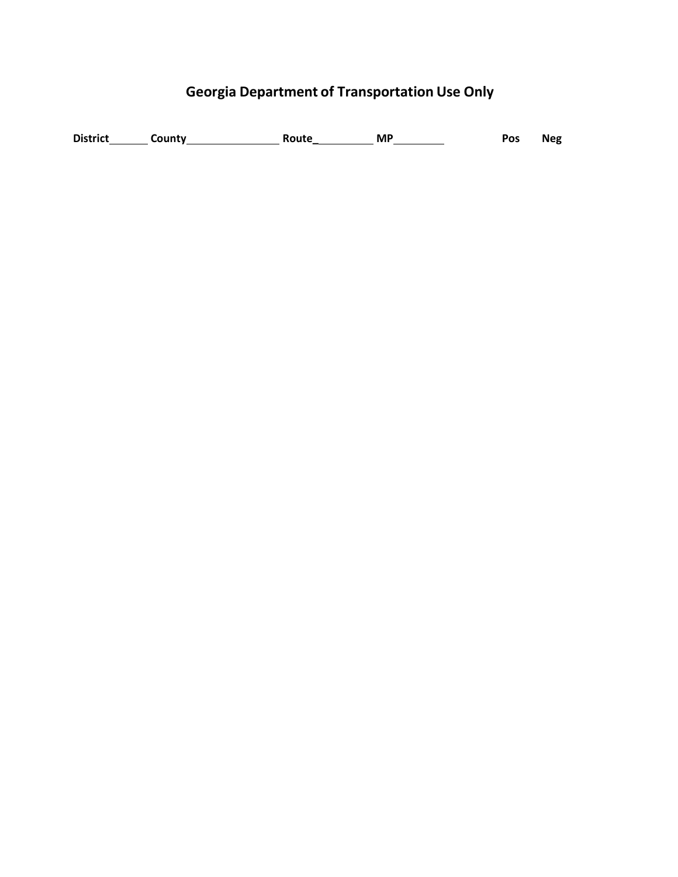## **Georgia Department of Transportation Use Only**

**Neg**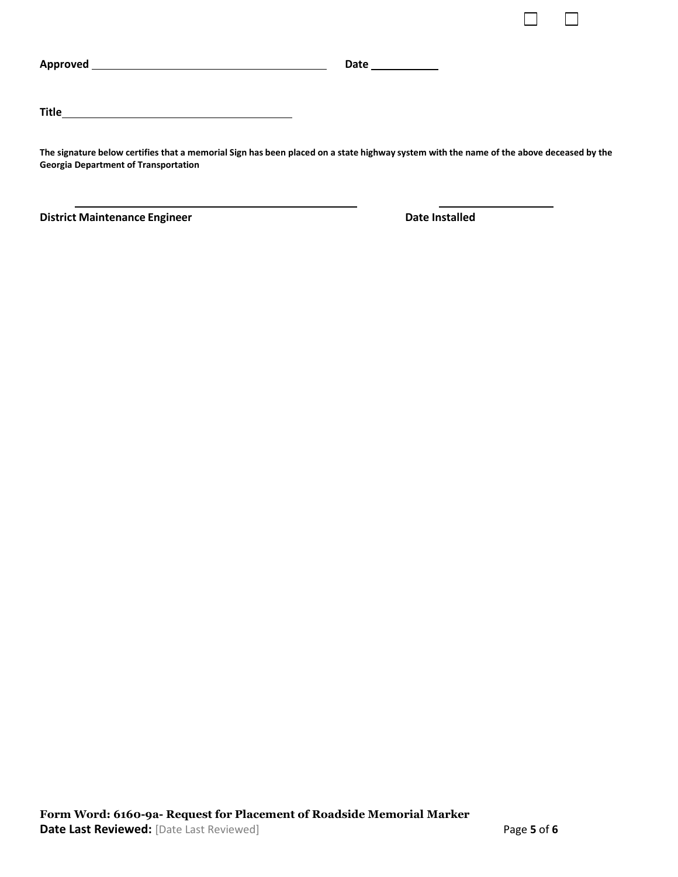|                                                                                                                                         | Date ______________ |
|-----------------------------------------------------------------------------------------------------------------------------------------|---------------------|
| <b>Title</b><br><u> 1980 - Jan Samuel Barbara, martin da shekara 1980 - An tsara 1980 - An tsara 1980 - An tsara 1980 - An tsara</u>    |                     |
| The signature below certifies that a memorial Sign has been placed on a state highway system with the name of the above deceased by the |                     |

**District Maintenance Engineer Construction Construction Cate Installed** 

**Georgia Department of Transportation**

П